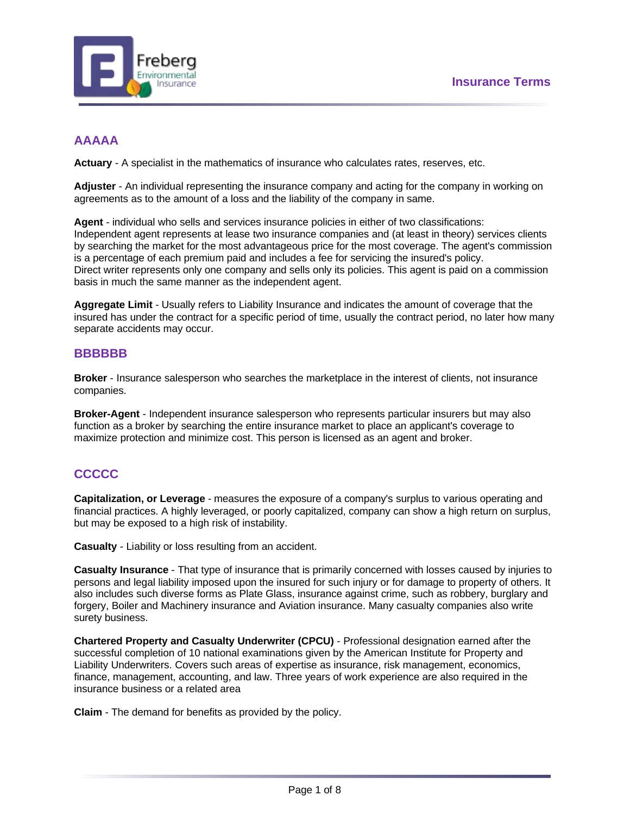

# **AAAAA**

**Actuary** - A specialist in the mathematics of insurance who calculates rates, reserves, etc.

**Adjuster** - An individual representing the insurance company and acting for the company in working on agreements as to the amount of a loss and the liability of the company in same.

**Agent** - individual who sells and services insurance policies in either of two classifications: Independent agent represents at lease two insurance companies and (at least in theory) services clients by searching the market for the most advantageous price for the most coverage. The agent's commission is a percentage of each premium paid and includes a fee for servicing the insured's policy. Direct writer represents only one company and sells only its policies. This agent is paid on a commission basis in much the same manner as the independent agent.

**Aggregate Limit** - Usually refers to Liability Insurance and indicates the amount of coverage that the insured has under the contract for a specific period of time, usually the contract period, no later how many separate accidents may occur.

### **BBBBBB**

**Broker** - Insurance salesperson who searches the marketplace in the interest of clients, not insurance companies.

**Broker-Agent** - Independent insurance salesperson who represents particular insurers but may also function as a broker by searching the entire insurance market to place an applicant's coverage to maximize protection and minimize cost. This person is licensed as an agent and broker.

# **CCCCC**

**Capitalization, or Leverage** - measures the exposure of a company's surplus to various operating and financial practices. A highly leveraged, or poorly capitalized, company can show a high return on surplus, but may be exposed to a high risk of instability.

**Casualty** - Liability or loss resulting from an accident.

**Casualty Insurance** - That type of insurance that is primarily concerned with losses caused by injuries to persons and legal liability imposed upon the insured for such injury or for damage to property of others. It also includes such diverse forms as Plate Glass, insurance against crime, such as robbery, burglary and forgery, Boiler and Machinery insurance and Aviation insurance. Many casualty companies also write surety business.

**Chartered Property and Casualty Underwriter (CPCU)** - Professional designation earned after the successful completion of 10 national examinations given by the American Institute for Property and Liability Underwriters. Covers such areas of expertise as insurance, risk management, economics, finance, management, accounting, and law. Three years of work experience are also required in the insurance business or a related area

**Claim** - The demand for benefits as provided by the policy.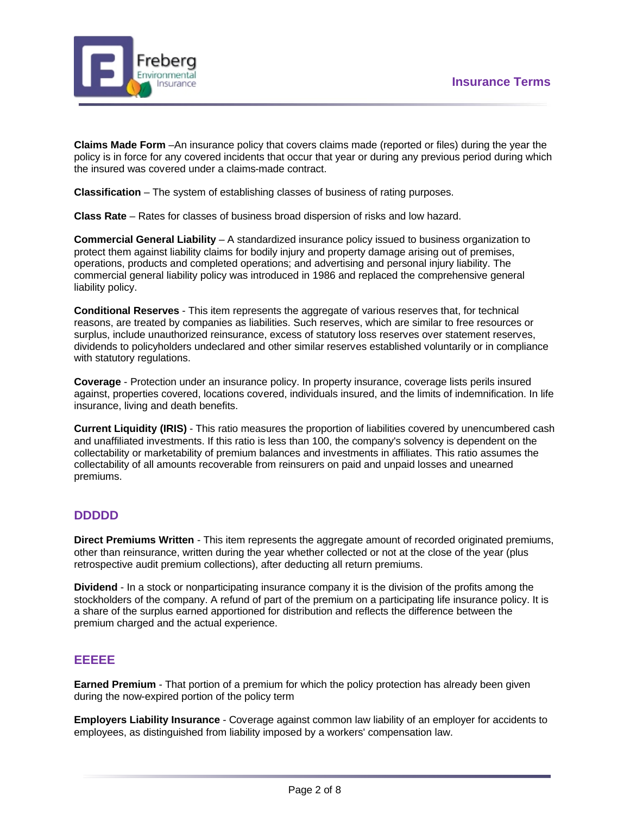

**Claims Made Form** –An insurance policy that covers claims made (reported or files) during the year the policy is in force for any covered incidents that occur that year or during any previous period during which the insured was covered under a claims-made contract.

**Classification** – The system of establishing classes of business of rating purposes.

**Class Rate** – Rates for classes of business broad dispersion of risks and low hazard.

**Commercial General Liability** – A standardized insurance policy issued to business organization to protect them against liability claims for bodily injury and property damage arising out of premises, operations, products and completed operations; and advertising and personal injury liability. The commercial general liability policy was introduced in 1986 and replaced the comprehensive general liability policy.

**Conditional Reserves** - This item represents the aggregate of various reserves that, for technical reasons, are treated by companies as liabilities. Such reserves, which are similar to free resources or surplus, include unauthorized reinsurance, excess of statutory loss reserves over statement reserves, dividends to policyholders undeclared and other similar reserves established voluntarily or in compliance with statutory regulations.

**Coverage** - Protection under an insurance policy. In property insurance, coverage lists perils insured against, properties covered, locations covered, individuals insured, and the limits of indemnification. In life insurance, living and death benefits.

**Current Liquidity (IRIS)** - This ratio measures the proportion of liabilities covered by unencumbered cash and unaffiliated investments. If this ratio is less than 100, the company's solvency is dependent on the collectability or marketability of premium balances and investments in affiliates. This ratio assumes the collectability of all amounts recoverable from reinsurers on paid and unpaid losses and unearned premiums.

## **DDDDD**

**Direct Premiums Written** - This item represents the aggregate amount of recorded originated premiums, other than reinsurance, written during the year whether collected or not at the close of the year (plus retrospective audit premium collections), after deducting all return premiums.

**Dividend** - In a stock or nonparticipating insurance company it is the division of the profits among the stockholders of the company. A refund of part of the premium on a participating life insurance policy. It is a share of the surplus earned apportioned for distribution and reflects the difference between the premium charged and the actual experience.

#### **EEEEE**

**Earned Premium** - That portion of a premium for which the policy protection has already been given during the now-expired portion of the policy term

**Employers Liability Insurance** - Coverage against common law liability of an employer for accidents to employees, as distinguished from liability imposed by a workers' compensation law.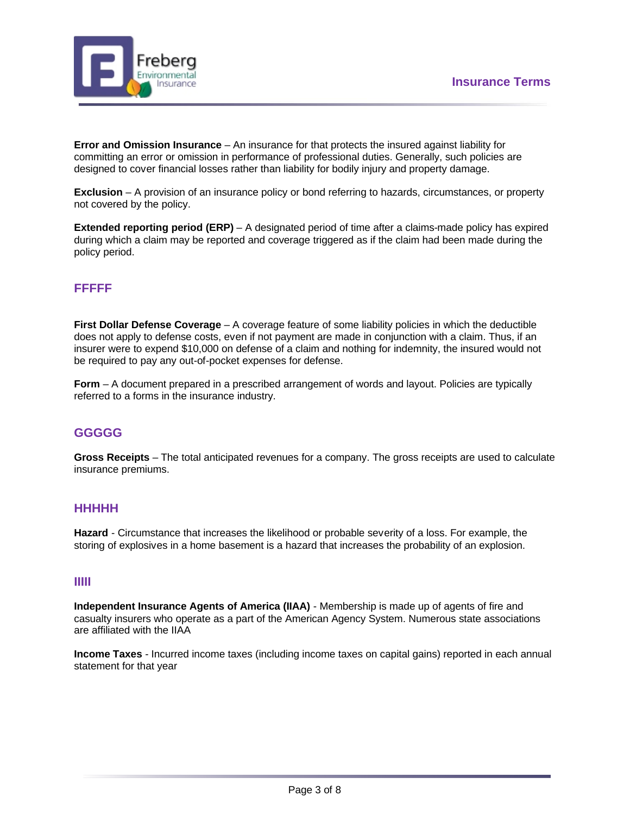

**Error and Omission Insurance** – An insurance for that protects the insured against liability for committing an error or omission in performance of professional duties. Generally, such policies are designed to cover financial losses rather than liability for bodily injury and property damage.

**Exclusion** – A provision of an insurance policy or bond referring to hazards, circumstances, or property not covered by the policy.

**Extended reporting period (ERP)** – A designated period of time after a claims-made policy has expired during which a claim may be reported and coverage triggered as if the claim had been made during the policy period.

## **FFFFF**

**First Dollar Defense Coverage** – A coverage feature of some liability policies in which the deductible does not apply to defense costs, even if not payment are made in conjunction with a claim. Thus, if an insurer were to expend \$10,000 on defense of a claim and nothing for indemnity, the insured would not be required to pay any out-of-pocket expenses for defense.

**Form** – A document prepared in a prescribed arrangement of words and layout. Policies are typically referred to a forms in the insurance industry.

## **GGGGG**

**Gross Receipts** – The total anticipated revenues for a company. The gross receipts are used to calculate insurance premiums.

### **HHHHH**

**Hazard** - Circumstance that increases the likelihood or probable severity of a loss. For example, the storing of explosives in a home basement is a hazard that increases the probability of an explosion.

### **IIIII**

**Independent Insurance Agents of America (IIAA)** - Membership is made up of agents of fire and casualty insurers who operate as a part of the American Agency System. Numerous state associations are affiliated with the IIAA

**Income Taxes** - Incurred income taxes (including income taxes on capital gains) reported in each annual statement for that year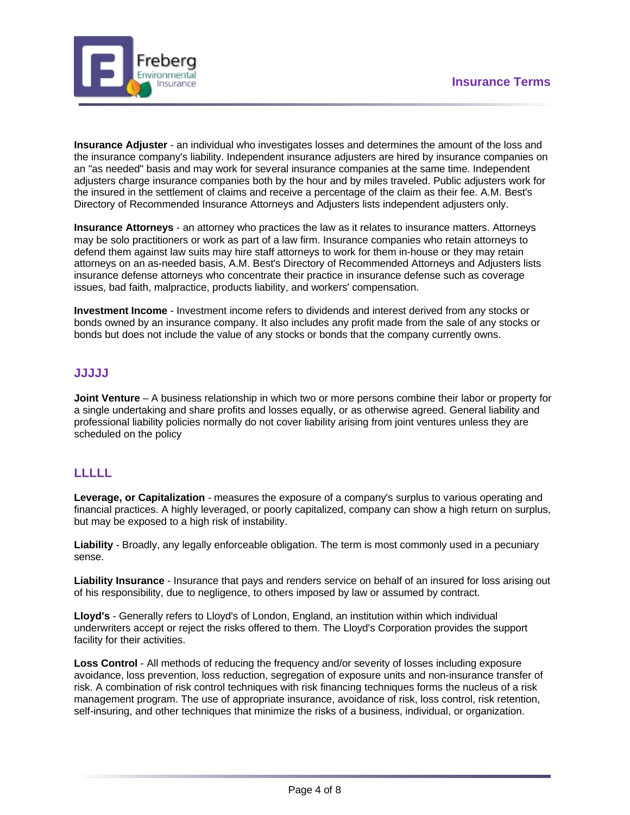

**Insurance Adjuster** - an individual who investigates losses and determines the amount of the loss and the insurance company's liability. Independent insurance adjusters are hired by insurance companies on an "as needed" basis and may work for several insurance companies at the same time. Independent adjusters charge insurance companies both by the hour and by miles traveled. Public adjusters work for the insured in the settlement of claims and receive a percentage of the claim as their fee. A.M. Best's Directory of Recommended Insurance Attorneys and Adjusters lists independent adjusters only.

**Insurance Attorneys** - an attorney who practices the law as it relates to insurance matters. Attorneys may be solo practitioners or work as part of a law firm. Insurance companies who retain attorneys to defend them against law suits may hire staff attorneys to work for them in-house or they may retain attorneys on an as-needed basis, A.M. Best's Directory of Recommended Attorneys and Adjusters lists insurance defense attorneys who concentrate their practice in insurance defense such as coverage issues, bad faith, malpractice, products liability, and workers' compensation.

**Investment Income** - Investment income refers to dividends and interest derived from any stocks or bonds owned by an insurance company. It also includes any profit made from the sale of any stocks or bonds but does not include the value of any stocks or bonds that the company currently owns.

## **JJJJJ**

**Joint Venture** – A business relationship in which two or more persons combine their labor or property for a single undertaking and share profits and losses equally, or as otherwise agreed. General liability and professional liability policies normally do not cover liability arising from joint ventures unless they are scheduled on the policy

## **LLLLL**

**Leverage, or Capitalization** - measures the exposure of a company's surplus to various operating and financial practices. A highly leveraged, or poorly capitalized, company can show a high return on surplus, but may be exposed to a high risk of instability.

**Liability** - Broadly, any legally enforceable obligation. The term is most commonly used in a pecuniary sense.

**Liability Insurance** - Insurance that pays and renders service on behalf of an insured for loss arising out of his responsibility, due to negligence, to others imposed by law or assumed by contract.

**Lloyd's** - Generally refers to Lloyd's of London, England, an institution within which individual underwriters accept or reject the risks offered to them. The Lloyd's Corporation provides the support facility for their activities.

**Loss Control** - All methods of reducing the frequency and/or severity of losses including exposure avoidance, loss prevention, loss reduction, segregation of exposure units and non-insurance transfer of risk. A combination of risk control techniques with risk financing techniques forms the nucleus of a risk management program. The use of appropriate insurance, avoidance of risk, loss control, risk retention, self-insuring, and other techniques that minimize the risks of a business, individual, or organization.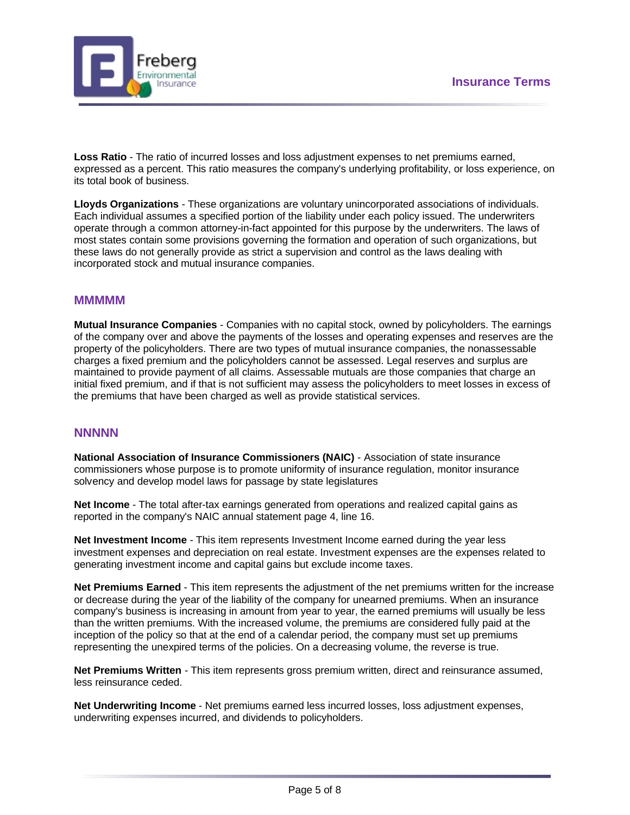

**Loss Ratio** - The ratio of incurred losses and loss adjustment expenses to net premiums earned, expressed as a percent. This ratio measures the company's underlying profitability, or loss experience, on its total book of business.

**Lloyds Organizations** - These organizations are voluntary unincorporated associations of individuals. Each individual assumes a specified portion of the liability under each policy issued. The underwriters operate through a common attorney-in-fact appointed for this purpose by the underwriters. The laws of most states contain some provisions governing the formation and operation of such organizations, but these laws do not generally provide as strict a supervision and control as the laws dealing with incorporated stock and mutual insurance companies.

#### **MMMMM**

**Mutual Insurance Companies** - Companies with no capital stock, owned by policyholders. The earnings of the company over and above the payments of the losses and operating expenses and reserves are the property of the policyholders. There are two types of mutual insurance companies, the nonassessable charges a fixed premium and the policyholders cannot be assessed. Legal reserves and surplus are maintained to provide payment of all claims. Assessable mutuals are those companies that charge an initial fixed premium, and if that is not sufficient may assess the policyholders to meet losses in excess of the premiums that have been charged as well as provide statistical services.

### **NNNNN**

**National Association of Insurance Commissioners (NAIC)** - Association of state insurance commissioners whose purpose is to promote uniformity of insurance regulation, monitor insurance solvency and develop model laws for passage by state legislatures

**Net Income** - The total after-tax earnings generated from operations and realized capital gains as reported in the company's NAIC annual statement page 4, line 16.

**Net Investment Income** - This item represents Investment Income earned during the year less investment expenses and depreciation on real estate. Investment expenses are the expenses related to generating investment income and capital gains but exclude income taxes.

**Net Premiums Earned** - This item represents the adjustment of the net premiums written for the increase or decrease during the year of the liability of the company for unearned premiums. When an insurance company's business is increasing in amount from year to year, the earned premiums will usually be less than the written premiums. With the increased volume, the premiums are considered fully paid at the inception of the policy so that at the end of a calendar period, the company must set up premiums representing the unexpired terms of the policies. On a decreasing volume, the reverse is true.

**Net Premiums Written** - This item represents gross premium written, direct and reinsurance assumed, less reinsurance ceded.

**Net Underwriting Income** - Net premiums earned less incurred losses, loss adjustment expenses, underwriting expenses incurred, and dividends to policyholders.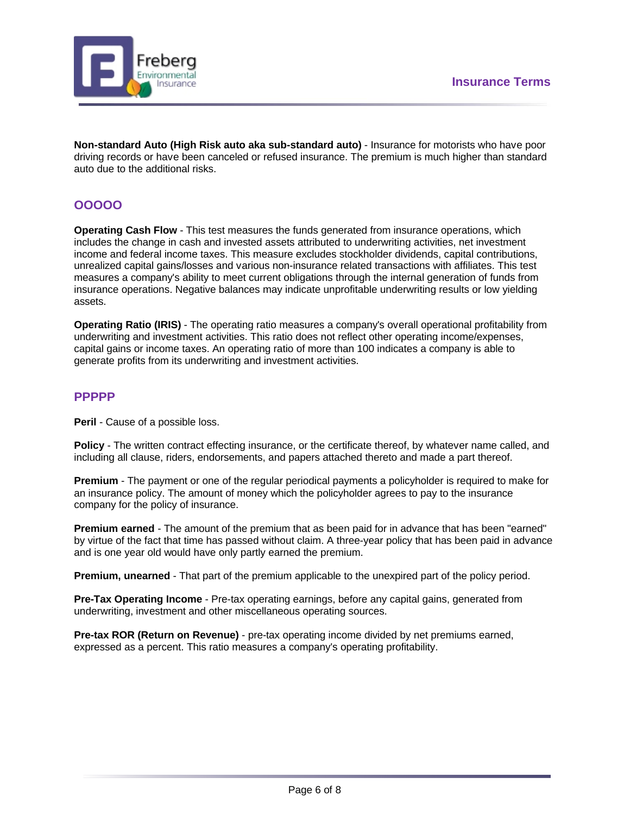

**Non-standard Auto (High Risk auto aka sub-standard auto)** - Insurance for motorists who have poor driving records or have been canceled or refused insurance. The premium is much higher than standard auto due to the additional risks.

## **OOOOO**

**Operating Cash Flow** - This test measures the funds generated from insurance operations, which includes the change in cash and invested assets attributed to underwriting activities, net investment income and federal income taxes. This measure excludes stockholder dividends, capital contributions, unrealized capital gains/losses and various non-insurance related transactions with affiliates. This test measures a company's ability to meet current obligations through the internal generation of funds from insurance operations. Negative balances may indicate unprofitable underwriting results or low yielding assets.

**Operating Ratio (IRIS)** - The operating ratio measures a company's overall operational profitability from underwriting and investment activities. This ratio does not reflect other operating income/expenses, capital gains or income taxes. An operating ratio of more than 100 indicates a company is able to generate profits from its underwriting and investment activities.

### **PPPPP**

**Peril** - Cause of a possible loss.

**Policy** - The written contract effecting insurance, or the certificate thereof, by whatever name called, and including all clause, riders, endorsements, and papers attached thereto and made a part thereof.

**Premium** - The payment or one of the regular periodical payments a policyholder is required to make for an insurance policy. The amount of money which the policyholder agrees to pay to the insurance company for the policy of insurance.

**Premium earned** - The amount of the premium that as been paid for in advance that has been "earned" by virtue of the fact that time has passed without claim. A three-year policy that has been paid in advance and is one year old would have only partly earned the premium.

**Premium, unearned** - That part of the premium applicable to the unexpired part of the policy period.

**Pre-Tax Operating Income** - Pre-tax operating earnings, before any capital gains, generated from underwriting, investment and other miscellaneous operating sources.

**Pre-tax ROR (Return on Revenue)** - pre-tax operating income divided by net premiums earned, expressed as a percent. This ratio measures a company's operating profitability.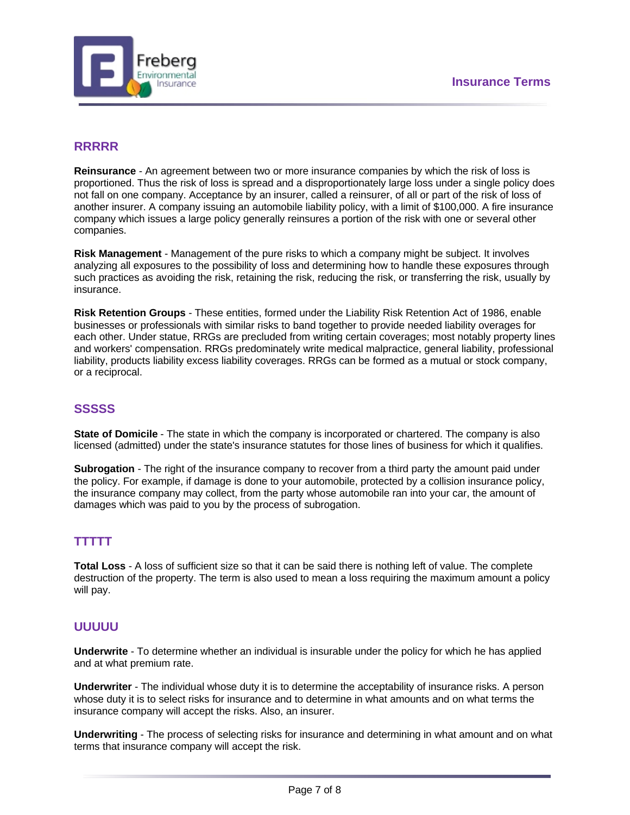

## **RRRRR**

**Reinsurance** - An agreement between two or more insurance companies by which the risk of loss is proportioned. Thus the risk of loss is spread and a disproportionately large loss under a single policy does not fall on one company. Acceptance by an insurer, called a reinsurer, of all or part of the risk of loss of another insurer. A company issuing an automobile liability policy, with a limit of \$100,000. A fire insurance company which issues a large policy generally reinsures a portion of the risk with one or several other companies.

**Risk Management** - Management of the pure risks to which a company might be subject. It involves analyzing all exposures to the possibility of loss and determining how to handle these exposures through such practices as avoiding the risk, retaining the risk, reducing the risk, or transferring the risk, usually by insurance.

**Risk Retention Groups** - These entities, formed under the Liability Risk Retention Act of 1986, enable businesses or professionals with similar risks to band together to provide needed liability overages for each other. Under statue, RRGs are precluded from writing certain coverages; most notably property lines and workers' compensation. RRGs predominately write medical malpractice, general liability, professional liability, products liability excess liability coverages. RRGs can be formed as a mutual or stock company, or a reciprocal.

### **SSSSS**

**State of Domicile** - The state in which the company is incorporated or chartered. The company is also licensed (admitted) under the state's insurance statutes for those lines of business for which it qualifies.

**Subrogation** - The right of the insurance company to recover from a third party the amount paid under the policy. For example, if damage is done to your automobile, protected by a collision insurance policy, the insurance company may collect, from the party whose automobile ran into your car, the amount of damages which was paid to you by the process of subrogation.

## **TTTTT**

**Total Loss** - A loss of sufficient size so that it can be said there is nothing left of value. The complete destruction of the property. The term is also used to mean a loss requiring the maximum amount a policy will pay.

### **UUUUU**

**Underwrite** - To determine whether an individual is insurable under the policy for which he has applied and at what premium rate.

**Underwriter** - The individual whose duty it is to determine the acceptability of insurance risks. A person whose duty it is to select risks for insurance and to determine in what amounts and on what terms the insurance company will accept the risks. Also, an insurer.

**Underwriting** - The process of selecting risks for insurance and determining in what amount and on what terms that insurance company will accept the risk.